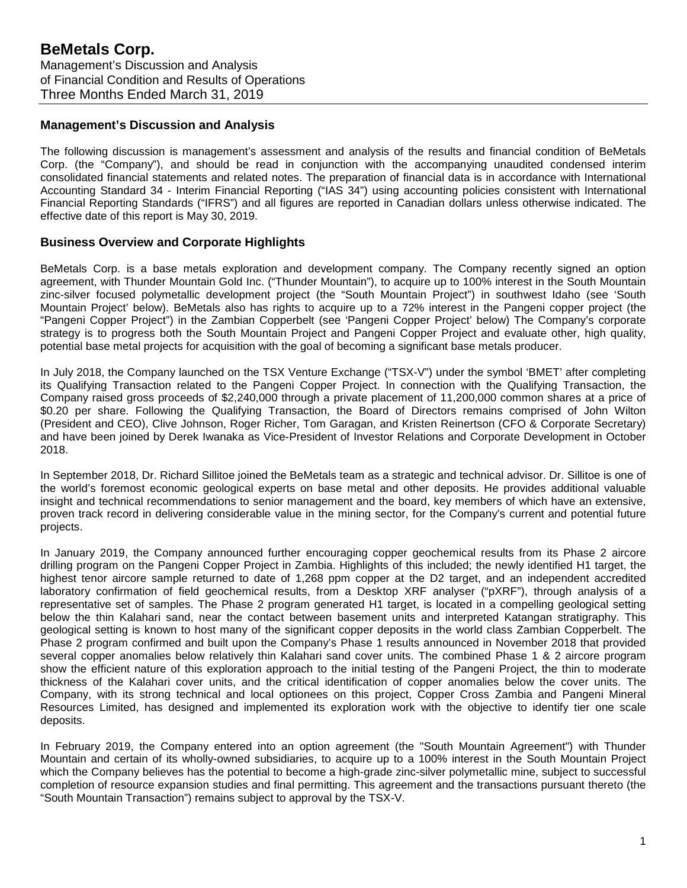### **Management's Discussion and Analysis**

The following discussion is management's assessment and analysis of the results and financial condition of BeMetals Corp. (the "Company"), and should be read in conjunction with the accompanying unaudited condensed interim consolidated financial statements and related notes. The preparation of financial data is in accordance with International Accounting Standard 34 - Interim Financial Reporting ("IAS 34") using accounting policies consistent with International Financial Reporting Standards ("IFRS") and all figures are reported in Canadian dollars unless otherwise indicated. The effective date of this report is May 30, 2019.

#### **Business Overview and Corporate Highlights**

BeMetals Corp. is a base metals exploration and development company. The Company recently signed an option agreement, with Thunder Mountain Gold Inc. ("Thunder Mountain"), to acquire up to 100% interest in the South Mountain zinc-silver focused polymetallic development project (the "South Mountain Project") in southwest Idaho (see 'South Mountain Project' below). BeMetals also has rights to acquire up to a 72% interest in the Pangeni copper project (the "Pangeni Copper Project") in the Zambian Copperbelt (see 'Pangeni Copper Project' below) The Company's corporate strategy is to progress both the South Mountain Project and Pangeni Copper Project and evaluate other, high quality, potential base metal projects for acquisition with the goal of becoming a significant base metals producer.

In July 2018, the Company launched on the TSX Venture Exchange ("TSX-V") under the symbol 'BMET' after completing its Qualifying Transaction related to the Pangeni Copper Project. In connection with the Qualifying Transaction, the Company raised gross proceeds of \$2,240,000 through a private placement of 11,200,000 common shares at a price of \$0.20 per share. Following the Qualifying Transaction, the Board of Directors remains comprised of John Wilton (President and CEO), Clive Johnson, Roger Richer, Tom Garagan, and Kristen Reinertson (CFO & Corporate Secretary) and have been joined by Derek Iwanaka as Vice-President of Investor Relations and Corporate Development in October 2018.

In September 2018, Dr. Richard Sillitoe joined the BeMetals team as a strategic and technical advisor. Dr. Sillitoe is one of the world's foremost economic geological experts on base metal and other deposits. He provides additional valuable insight and technical recommendations to senior management and the board, key members of which have an extensive, proven track record in delivering considerable value in the mining sector, for the Company's current and potential future projects.

In January 2019, the Company announced further encouraging copper geochemical results from its Phase 2 aircore drilling program on the Pangeni Copper Project in Zambia. Highlights of this included; the newly identified H1 target, the highest tenor aircore sample returned to date of 1,268 ppm copper at the D2 target, and an independent accredited laboratory confirmation of field geochemical results, from a Desktop XRF analyser ("pXRF"), through analysis of a representative set of samples. The Phase 2 program generated H1 target, is located in a compelling geological setting below the thin Kalahari sand, near the contact between basement units and interpreted Katangan stratigraphy. This geological setting is known to host many of the significant copper deposits in the world class Zambian Copperbelt. The Phase 2 program confirmed and built upon the Company's Phase 1 results announced in November 2018 that provided several copper anomalies below relatively thin Kalahari sand cover units. The combined Phase 1 & 2 aircore program show the efficient nature of this exploration approach to the initial testing of the Pangeni Project, the thin to moderate thickness of the Kalahari cover units, and the critical identification of copper anomalies below the cover units. The Company, with its strong technical and local optionees on this project, Copper Cross Zambia and Pangeni Mineral Resources Limited, has designed and implemented its exploration work with the objective to identify tier one scale deposits.

In February 2019, the Company entered into an option agreement (the "South Mountain Agreement") with Thunder Mountain and certain of its wholly-owned subsidiaries, to acquire up to a 100% interest in the South Mountain Project which the Company believes has the potential to become a high-grade zinc-silver polymetallic mine, subject to successful completion of resource expansion studies and final permitting. This agreement and the transactions pursuant thereto (the "South Mountain Transaction") remains subject to approval by the TSX-V.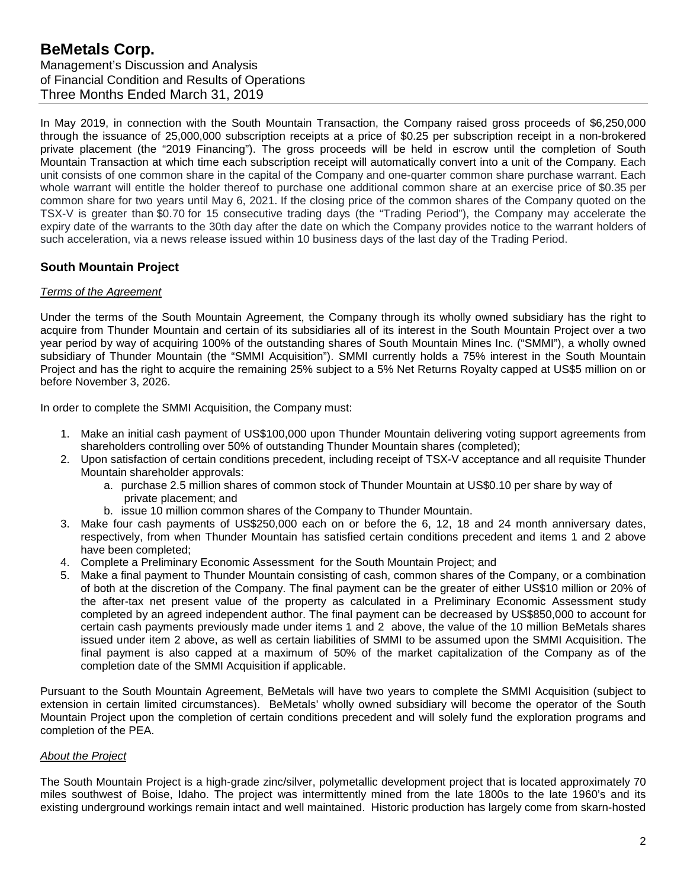In May 2019, in connection with the South Mountain Transaction, the Company raised gross proceeds of \$6,250,000 through the issuance of 25,000,000 subscription receipts at a price of \$0.25 per subscription receipt in a non-brokered private placement (the "2019 Financing"). The gross proceeds will be held in escrow until the completion of South Mountain Transaction at which time each subscription receipt will automatically convert into a unit of the Company. Each unit consists of one common share in the capital of the Company and one-quarter common share purchase warrant. Each whole warrant will entitle the holder thereof to purchase one additional common share at an exercise price of \$0.35 per common share for two years until May 6, 2021. If the closing price of the common shares of the Company quoted on the TSX-V is greater than \$0.70 for 15 consecutive trading days (the "Trading Period"), the Company may accelerate the expiry date of the warrants to the 30th day after the date on which the Company provides notice to the warrant holders of such acceleration, via a news release issued within 10 business days of the last day of the Trading Period.

## **South Mountain Project**

#### *Terms of the Agreement*

Under the terms of the South Mountain Agreement, the Company through its wholly owned subsidiary has the right to acquire from Thunder Mountain and certain of its subsidiaries all of its interest in the South Mountain Project over a two year period by way of acquiring 100% of the outstanding shares of South Mountain Mines Inc. ("SMMI"), a wholly owned subsidiary of Thunder Mountain (the "SMMI Acquisition"). SMMI currently holds a 75% interest in the South Mountain Project and has the right to acquire the remaining 25% subject to a 5% Net Returns Royalty capped at US\$5 million on or before November 3, 2026.

In order to complete the SMMI Acquisition, the Company must:

- 1. Make an initial cash payment of US\$100,000 upon Thunder Mountain delivering voting support agreements from shareholders controlling over 50% of outstanding Thunder Mountain shares (completed);
- 2. Upon satisfaction of certain conditions precedent, including receipt of TSX-V acceptance and all requisite Thunder Mountain shareholder approvals:
	- a. purchase 2.5 million shares of common stock of Thunder Mountain at US\$0.10 per share by way of private placement; and
	- b. issue 10 million common shares of the Company to Thunder Mountain.
- 3. Make four cash payments of US\$250,000 each on or before the 6, 12, 18 and 24 month anniversary dates, respectively, from when Thunder Mountain has satisfied certain conditions precedent and items 1 and 2 above have been completed;
- 4. Complete a Preliminary Economic Assessment for the South Mountain Project; and
- 5. Make a final payment to Thunder Mountain consisting of cash, common shares of the Company, or a combination of both at the discretion of the Company. The final payment can be the greater of either US\$10 million or 20% of the after-tax net present value of the property as calculated in a Preliminary Economic Assessment study completed by an agreed independent author. The final payment can be decreased by US\$850,000 to account for certain cash payments previously made under items 1 and 2 above, the value of the 10 million BeMetals shares issued under item 2 above, as well as certain liabilities of SMMI to be assumed upon the SMMI Acquisition. The final payment is also capped at a maximum of 50% of the market capitalization of the Company as of the completion date of the SMMI Acquisition if applicable.

Pursuant to the South Mountain Agreement, BeMetals will have two years to complete the SMMI Acquisition (subject to extension in certain limited circumstances). BeMetals' wholly owned subsidiary will become the operator of the South Mountain Project upon the completion of certain conditions precedent and will solely fund the exploration programs and completion of the PEA.

#### *About the Project*

The South Mountain Project is a high-grade zinc/silver, polymetallic development project that is located approximately 70 miles southwest of Boise, Idaho. The project was intermittently mined from the late 1800s to the late 1960's and its existing underground workings remain intact and well maintained. Historic production has largely come from skarn-hosted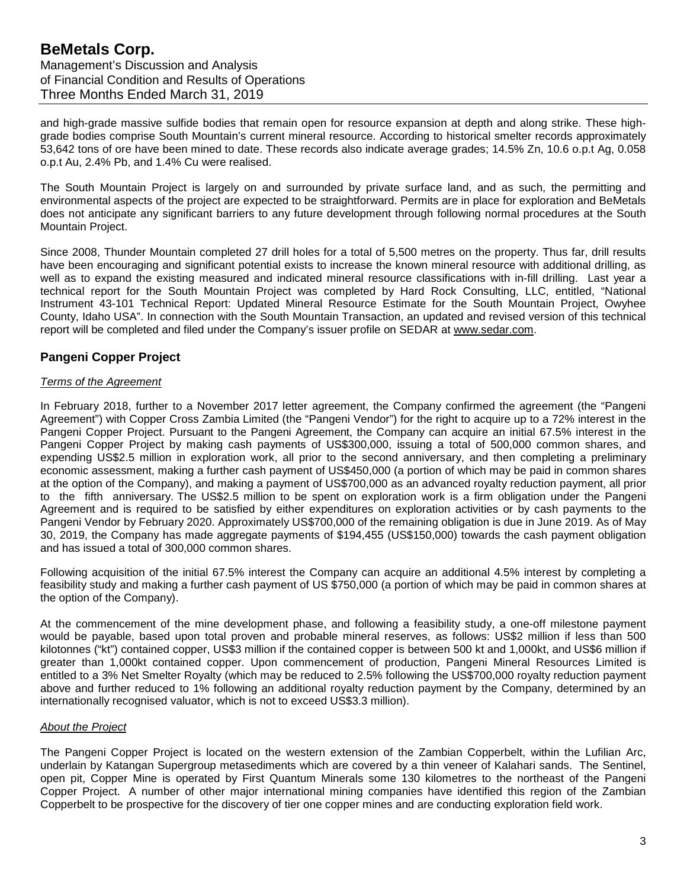and high-grade massive sulfide bodies that remain open for resource expansion at depth and along strike. These highgrade bodies comprise South Mountain's current mineral resource. According to historical smelter records approximately 53,642 tons of ore have been mined to date. These records also indicate average grades; 14.5% Zn, 10.6 o.p.t Ag, 0.058 o.p.t Au, 2.4% Pb, and 1.4% Cu were realised.

The South Mountain Project is largely on and surrounded by private surface land, and as such, the permitting and environmental aspects of the project are expected to be straightforward. Permits are in place for exploration and BeMetals does not anticipate any significant barriers to any future development through following normal procedures at the South Mountain Project.

Since 2008, Thunder Mountain completed 27 drill holes for a total of 5,500 metres on the property. Thus far, drill results have been encouraging and significant potential exists to increase the known mineral resource with additional drilling, as well as to expand the existing measured and indicated mineral resource classifications with in-fill drilling. Last year a technical report for the South Mountain Project was completed by Hard Rock Consulting, LLC, entitled, "National Instrument 43-101 Technical Report: Updated Mineral Resource Estimate for the South Mountain Project, Owyhee County, Idaho USA". In connection with the South Mountain Transaction, an updated and revised version of this technical report will be completed and filed under the Company's issuer profile on SEDAR at [www.sedar.com.](http://www.sedar.com/)

## **Pangeni Copper Project**

#### *Terms of the Agreement*

In February 2018, further to a November 2017 letter agreement, the Company confirmed the agreement (the "Pangeni Agreement") with Copper Cross Zambia Limited (the "Pangeni Vendor") for the right to acquire up to a 72% interest in the Pangeni Copper Project. Pursuant to the Pangeni Agreement, the Company can acquire an initial 67.5% interest in the Pangeni Copper Project by making cash payments of US\$300,000, issuing a total of 500,000 common shares, and expending US\$2.5 million in exploration work, all prior to the second anniversary, and then completing a preliminary economic assessment, making a further cash payment of US\$450,000 (a portion of which may be paid in common shares at the option of the Company), and making a payment of US\$700,000 as an advanced royalty reduction payment, all prior to the fifth anniversary. The US\$2.5 million to be spent on exploration work is a firm obligation under the Pangeni Agreement and is required to be satisfied by either expenditures on exploration activities or by cash payments to the Pangeni Vendor by February 2020. Approximately US\$700,000 of the remaining obligation is due in June 2019. As of May 30, 2019, the Company has made aggregate payments of \$194,455 (US\$150,000) towards the cash payment obligation and has issued a total of 300,000 common shares.

Following acquisition of the initial 67.5% interest the Company can acquire an additional 4.5% interest by completing a feasibility study and making a further cash payment of US \$750,000 (a portion of which may be paid in common shares at the option of the Company).

At the commencement of the mine development phase, and following a feasibility study, a one-off milestone payment would be payable, based upon total proven and probable mineral reserves, as follows: US\$2 million if less than 500 kilotonnes ("kt") contained copper, US\$3 million if the contained copper is between 500 kt and 1,000kt, and US\$6 million if greater than 1,000kt contained copper. Upon commencement of production, Pangeni Mineral Resources Limited is entitled to a 3% Net Smelter Royalty (which may be reduced to 2.5% following the US\$700,000 royalty reduction payment above and further reduced to 1% following an additional royalty reduction payment by the Company, determined by an internationally recognised valuator, which is not to exceed US\$3.3 million).

#### *About the Project*

The Pangeni Copper Project is located on the western extension of the Zambian Copperbelt, within the Lufilian Arc, underlain by Katangan Supergroup metasediments which are covered by a thin veneer of Kalahari sands. The Sentinel, open pit, Copper Mine is operated by First Quantum Minerals some 130 kilometres to the northeast of the Pangeni Copper Project. A number of other major international mining companies have identified this region of the Zambian Copperbelt to be prospective for the discovery of tier one copper mines and are conducting exploration field work.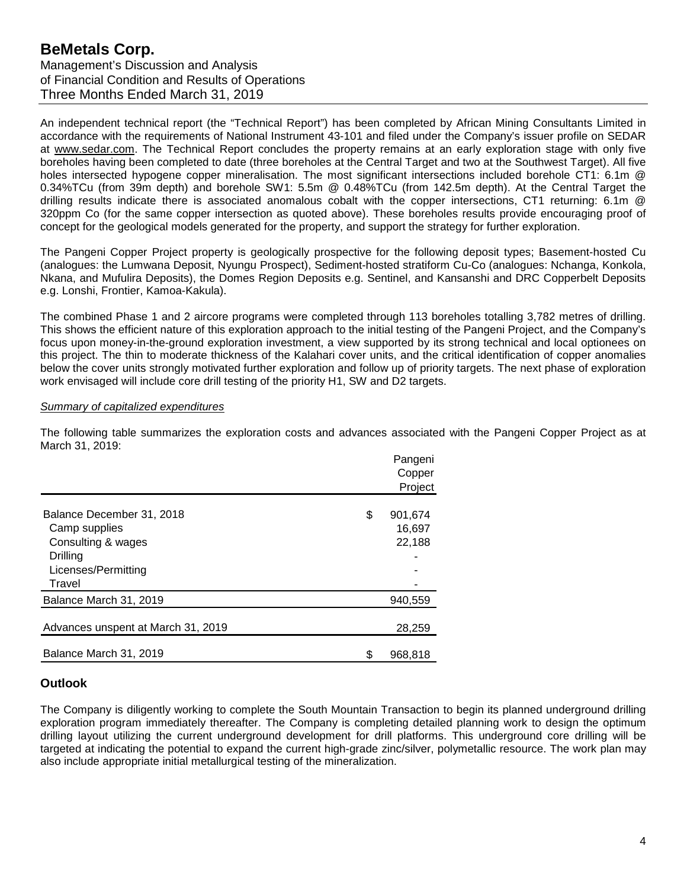An independent technical report (the "Technical Report") has been completed by African Mining Consultants Limited in accordance with the requirements of National Instrument 43-101 and filed under the Company's issuer profile on SEDAR at www.sedar.com. The Technical Report concludes the property remains at an early exploration stage with only five boreholes having been completed to date (three boreholes at the Central Target and two at the Southwest Target). All five holes intersected hypogene copper mineralisation. The most significant intersections included borehole CT1: 6.1m @ 0.34%TCu (from 39m depth) and borehole SW1: 5.5m @ 0.48%TCu (from 142.5m depth). At the Central Target the drilling results indicate there is associated anomalous cobalt with the copper intersections, CT1 returning: 6.1m @ 320ppm Co (for the same copper intersection as quoted above). These boreholes results provide encouraging proof of concept for the geological models generated for the property, and support the strategy for further exploration.

The Pangeni Copper Project property is geologically prospective for the following deposit types; Basement-hosted Cu (analogues: the Lumwana Deposit, Nyungu Prospect), Sediment-hosted stratiform Cu-Co (analogues: Nchanga, Konkola, Nkana, and Mufulira Deposits), the Domes Region Deposits e.g. Sentinel, and Kansanshi and DRC Copperbelt Deposits e.g. Lonshi, Frontier, Kamoa-Kakula).

The combined Phase 1 and 2 aircore programs were completed through 113 boreholes totalling 3,782 metres of drilling. This shows the efficient nature of this exploration approach to the initial testing of the Pangeni Project, and the Company's focus upon money-in-the-ground exploration investment, a view supported by its strong technical and local optionees on this project. The thin to moderate thickness of the Kalahari cover units, and the critical identification of copper anomalies below the cover units strongly motivated further exploration and follow up of priority targets. The next phase of exploration work envisaged will include core drill testing of the priority H1, SW and D2 targets.

#### *Summary of capitalized expenditures*

The following table summarizes the exploration costs and advances associated with the Pangeni Copper Project as at March 31, 2019:

|                                                                                                               | Pangeni<br>Copper<br>Project      |
|---------------------------------------------------------------------------------------------------------------|-----------------------------------|
| Balance December 31, 2018<br>Camp supplies<br>Consulting & wages<br>Drilling<br>Licenses/Permitting<br>Travel | \$<br>901,674<br>16,697<br>22,188 |
| Balance March 31, 2019                                                                                        | 940,559                           |
| Advances unspent at March 31, 2019                                                                            | 28,259                            |
| Balance March 31, 2019                                                                                        | \$<br>968,818                     |

## **Outlook**

The Company is diligently working to complete the South Mountain Transaction to begin its planned underground drilling exploration program immediately thereafter. The Company is completing detailed planning work to design the optimum drilling layout utilizing the current underground development for drill platforms. This underground core drilling will be targeted at indicating the potential to expand the current high-grade zinc/silver, polymetallic resource. The work plan may also include appropriate initial metallurgical testing of the mineralization.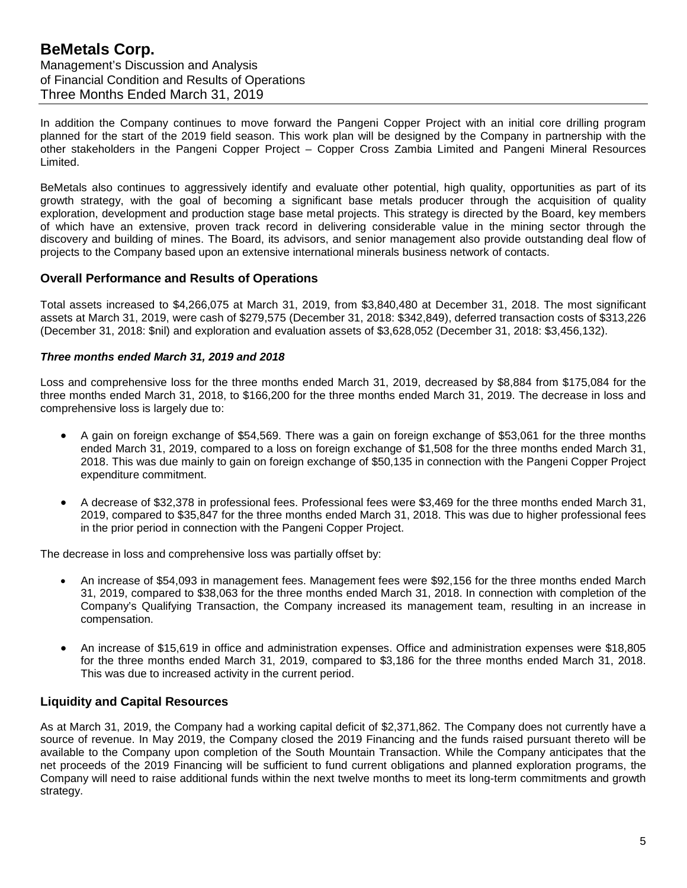In addition the Company continues to move forward the Pangeni Copper Project with an initial core drilling program planned for the start of the 2019 field season. This work plan will be designed by the Company in partnership with the other stakeholders in the Pangeni Copper Project – Copper Cross Zambia Limited and Pangeni Mineral Resources Limited.

BeMetals also continues to aggressively identify and evaluate other potential, high quality, opportunities as part of its growth strategy, with the goal of becoming a significant base metals producer through the acquisition of quality exploration, development and production stage base metal projects. This strategy is directed by the Board, key members of which have an extensive, proven track record in delivering considerable value in the mining sector through the discovery and building of mines. The Board, its advisors, and senior management also provide outstanding deal flow of projects to the Company based upon an extensive international minerals business network of contacts.

## **Overall Performance and Results of Operations**

Total assets increased to \$4,266,075 at March 31, 2019, from \$3,840,480 at December 31, 2018. The most significant assets at March 31, 2019, were cash of \$279,575 (December 31, 2018: \$342,849), deferred transaction costs of \$313,226 (December 31, 2018: \$nil) and exploration and evaluation assets of \$3,628,052 (December 31, 2018: \$3,456,132).

#### *Three months ended March 31, 2019 and 2018*

Loss and comprehensive loss for the three months ended March 31, 2019, decreased by \$8,884 from \$175,084 for the three months ended March 31, 2018, to \$166,200 for the three months ended March 31, 2019. The decrease in loss and comprehensive loss is largely due to:

- A gain on foreign exchange of \$54,569. There was a gain on foreign exchange of \$53,061 for the three months ended March 31, 2019, compared to a loss on foreign exchange of \$1,508 for the three months ended March 31, 2018. This was due mainly to gain on foreign exchange of \$50,135 in connection with the Pangeni Copper Project expenditure commitment.
- A decrease of \$32,378 in professional fees. Professional fees were \$3,469 for the three months ended March 31, 2019, compared to \$35,847 for the three months ended March 31, 2018. This was due to higher professional fees in the prior period in connection with the Pangeni Copper Project.

The decrease in loss and comprehensive loss was partially offset by:

- An increase of \$54,093 in management fees. Management fees were \$92,156 for the three months ended March 31, 2019, compared to \$38,063 for the three months ended March 31, 2018. In connection with completion of the Company's Qualifying Transaction, the Company increased its management team, resulting in an increase in compensation.
- An increase of \$15,619 in office and administration expenses. Office and administration expenses were \$18,805 for the three months ended March 31, 2019, compared to \$3,186 for the three months ended March 31, 2018. This was due to increased activity in the current period.

#### **Liquidity and Capital Resources**

As at March 31, 2019, the Company had a working capital deficit of \$2,371,862. The Company does not currently have a source of revenue. In May 2019, the Company closed the 2019 Financing and the funds raised pursuant thereto will be available to the Company upon completion of the South Mountain Transaction. While the Company anticipates that the net proceeds of the 2019 Financing will be sufficient to fund current obligations and planned exploration programs, the Company will need to raise additional funds within the next twelve months to meet its long-term commitments and growth strategy.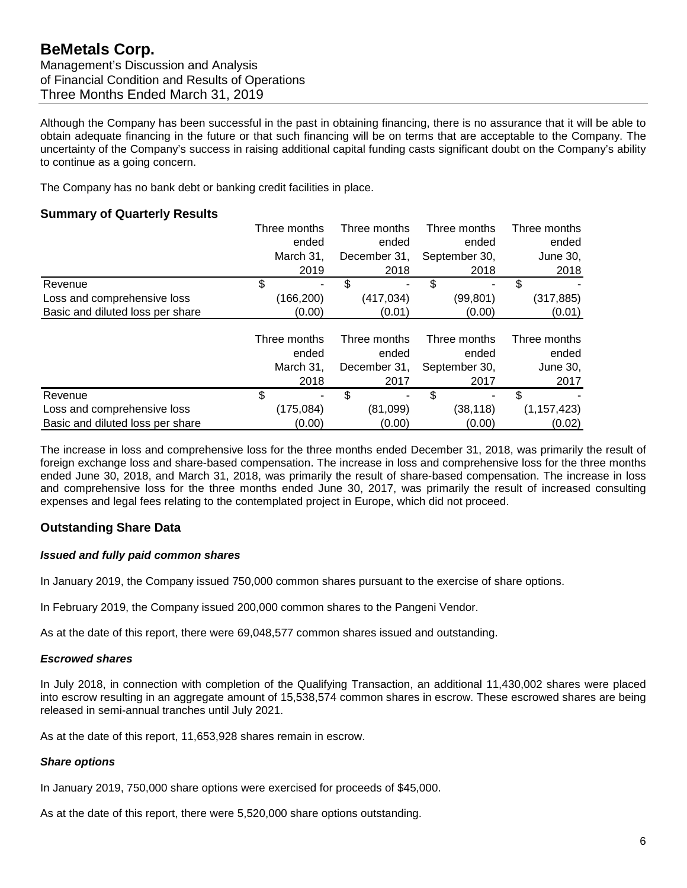Although the Company has been successful in the past in obtaining financing, there is no assurance that it will be able to obtain adequate financing in the future or that such financing will be on terms that are acceptable to the Company. The uncertainty of the Company's success in raising additional capital funding casts significant doubt on the Company's ability to continue as a going concern.

The Company has no bank debt or banking credit facilities in place.

### **Summary of Quarterly Results**

|                                  | Three months | Three months | Three months  | Three months  |
|----------------------------------|--------------|--------------|---------------|---------------|
|                                  | ended        | ended        | ended         | ended         |
|                                  | March 31.    | December 31, | September 30, | June 30,      |
|                                  | 2019         | 2018         | 2018          | 2018          |
| Revenue                          | \$           | \$           | \$            | \$            |
| Loss and comprehensive loss      | (166,200)    | (417, 034)   | (99,801)      | (317, 885)    |
| Basic and diluted loss per share | (0.00)       | (0.01)       | (0.00)        | (0.01)        |
|                                  |              |              |               |               |
|                                  | Three months | Three months | Three months  | Three months  |
|                                  | ended        | ended        | ended         | ended         |
|                                  | March 31.    | December 31, | September 30, | June 30,      |
|                                  | 2018         | 2017         | 2017          | 2017          |
| Revenue                          | \$           | \$           | \$            | \$            |
| Loss and comprehensive loss      | (175,084)    | (81,099)     | (38,118)      | (1, 157, 423) |
| Basic and diluted loss per share | (0.00)       | (0.00)       | (0.00)        | (0.02)        |

The increase in loss and comprehensive loss for the three months ended December 31, 2018, was primarily the result of foreign exchange loss and share-based compensation. The increase in loss and comprehensive loss for the three months ended June 30, 2018, and March 31, 2018, was primarily the result of share-based compensation. The increase in loss and comprehensive loss for the three months ended June 30, 2017, was primarily the result of increased consulting expenses and legal fees relating to the contemplated project in Europe, which did not proceed.

## **Outstanding Share Data**

#### *Issued and fully paid common shares*

In January 2019, the Company issued 750,000 common shares pursuant to the exercise of share options.

In February 2019, the Company issued 200,000 common shares to the Pangeni Vendor.

As at the date of this report, there were 69,048,577 common shares issued and outstanding.

#### *Escrowed shares*

In July 2018, in connection with completion of the Qualifying Transaction, an additional 11,430,002 shares were placed into escrow resulting in an aggregate amount of 15,538,574 common shares in escrow. These escrowed shares are being released in semi-annual tranches until July 2021.

As at the date of this report, 11,653,928 shares remain in escrow.

#### *Share options*

In January 2019, 750,000 share options were exercised for proceeds of \$45,000.

As at the date of this report, there were 5,520,000 share options outstanding.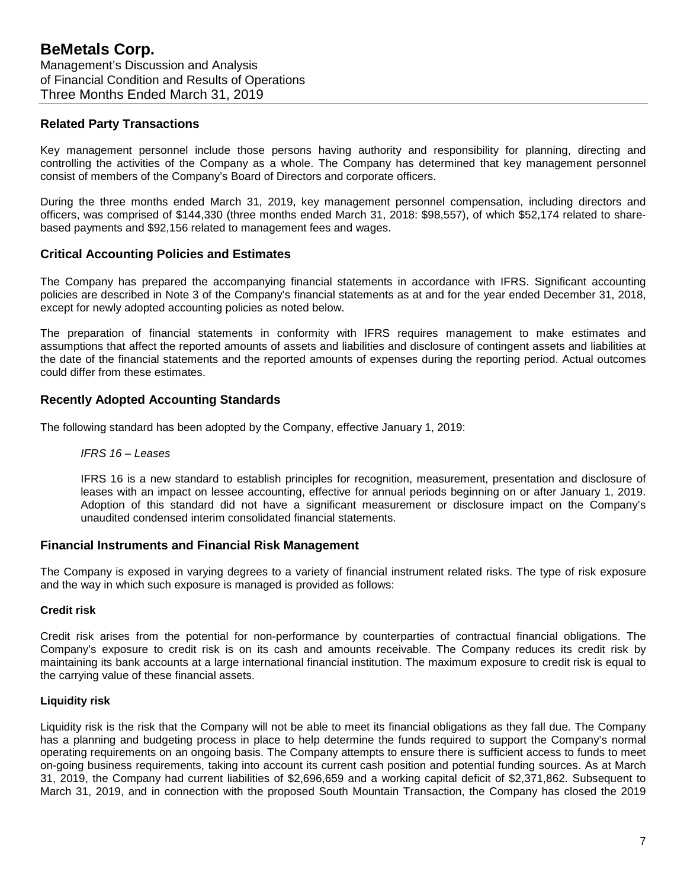#### **Related Party Transactions**

Key management personnel include those persons having authority and responsibility for planning, directing and controlling the activities of the Company as a whole. The Company has determined that key management personnel consist of members of the Company's Board of Directors and corporate officers.

During the three months ended March 31, 2019, key management personnel compensation, including directors and officers, was comprised of \$144,330 (three months ended March 31, 2018: \$98,557), of which \$52,174 related to sharebased payments and \$92,156 related to management fees and wages.

## **Critical Accounting Policies and Estimates**

The Company has prepared the accompanying financial statements in accordance with IFRS. Significant accounting policies are described in Note 3 of the Company's financial statements as at and for the year ended December 31, 2018, except for newly adopted accounting policies as noted below.

The preparation of financial statements in conformity with IFRS requires management to make estimates and assumptions that affect the reported amounts of assets and liabilities and disclosure of contingent assets and liabilities at the date of the financial statements and the reported amounts of expenses during the reporting period. Actual outcomes could differ from these estimates.

## **Recently Adopted Accounting Standards**

The following standard has been adopted by the Company, effective January 1, 2019:

*IFRS 16 – Leases*

IFRS 16 is a new standard to establish principles for recognition, measurement, presentation and disclosure of leases with an impact on lessee accounting, effective for annual periods beginning on or after January 1, 2019. Adoption of this standard did not have a significant measurement or disclosure impact on the Company's unaudited condensed interim consolidated financial statements.

#### **Financial Instruments and Financial Risk Management**

The Company is exposed in varying degrees to a variety of financial instrument related risks. The type of risk exposure and the way in which such exposure is managed is provided as follows:

#### **Credit risk**

Credit risk arises from the potential for non-performance by counterparties of contractual financial obligations. The Company's exposure to credit risk is on its cash and amounts receivable. The Company reduces its credit risk by maintaining its bank accounts at a large international financial institution. The maximum exposure to credit risk is equal to the carrying value of these financial assets.

#### **Liquidity risk**

Liquidity risk is the risk that the Company will not be able to meet its financial obligations as they fall due. The Company has a planning and budgeting process in place to help determine the funds required to support the Company's normal operating requirements on an ongoing basis. The Company attempts to ensure there is sufficient access to funds to meet on-going business requirements, taking into account its current cash position and potential funding sources. As at March 31, 2019, the Company had current liabilities of \$2,696,659 and a working capital deficit of \$2,371,862. Subsequent to March 31, 2019, and in connection with the proposed South Mountain Transaction, the Company has closed the 2019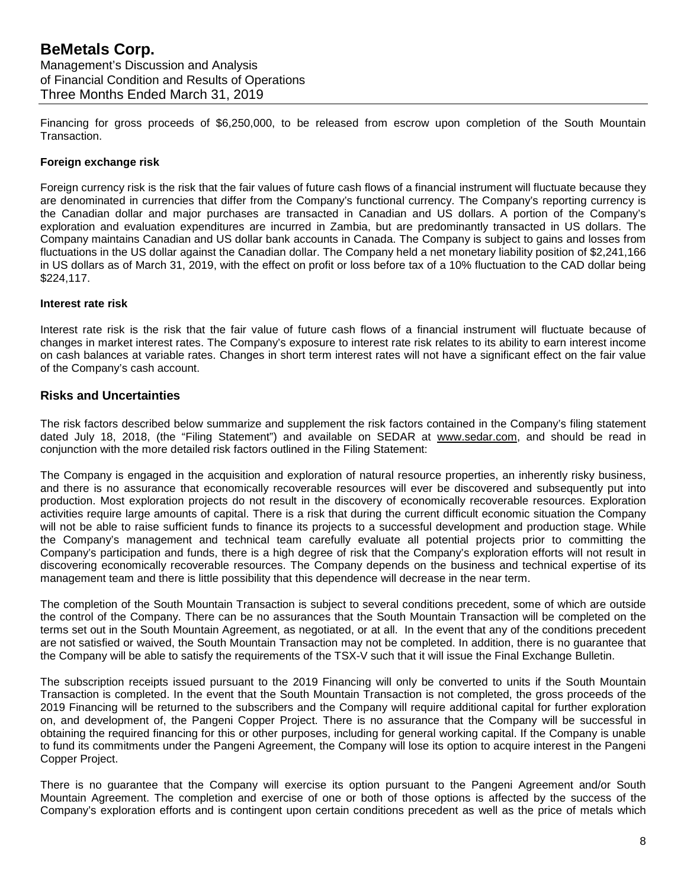Financing for gross proceeds of \$6,250,000, to be released from escrow upon completion of the South Mountain Transaction.

#### **Foreign exchange risk**

Foreign currency risk is the risk that the fair values of future cash flows of a financial instrument will fluctuate because they are denominated in currencies that differ from the Company's functional currency. The Company's reporting currency is the Canadian dollar and major purchases are transacted in Canadian and US dollars. A portion of the Company's exploration and evaluation expenditures are incurred in Zambia, but are predominantly transacted in US dollars. The Company maintains Canadian and US dollar bank accounts in Canada. The Company is subject to gains and losses from fluctuations in the US dollar against the Canadian dollar. The Company held a net monetary liability position of \$2,241,166 in US dollars as of March 31, 2019, with the effect on profit or loss before tax of a 10% fluctuation to the CAD dollar being \$224,117.

#### **Interest rate risk**

Interest rate risk is the risk that the fair value of future cash flows of a financial instrument will fluctuate because of changes in market interest rates. The Company's exposure to interest rate risk relates to its ability to earn interest income on cash balances at variable rates. Changes in short term interest rates will not have a significant effect on the fair value of the Company's cash account.

#### **Risks and Uncertainties**

The risk factors described below summarize and supplement the risk factors contained in the Company's filing statement dated July 18, 2018, (the "Filing Statement") and available on SEDAR at [www.sedar.com,](http://www.sedar.com/) and should be read in conjunction with the more detailed risk factors outlined in the Filing Statement:

The Company is engaged in the acquisition and exploration of natural resource properties, an inherently risky business, and there is no assurance that economically recoverable resources will ever be discovered and subsequently put into production. Most exploration projects do not result in the discovery of economically recoverable resources. Exploration activities require large amounts of capital. There is a risk that during the current difficult economic situation the Company will not be able to raise sufficient funds to finance its projects to a successful development and production stage. While the Company's management and technical team carefully evaluate all potential projects prior to committing the Company's participation and funds, there is a high degree of risk that the Company's exploration efforts will not result in discovering economically recoverable resources. The Company depends on the business and technical expertise of its management team and there is little possibility that this dependence will decrease in the near term.

The completion of the South Mountain Transaction is subject to several conditions precedent, some of which are outside the control of the Company. There can be no assurances that the South Mountain Transaction will be completed on the terms set out in the South Mountain Agreement, as negotiated, or at all. In the event that any of the conditions precedent are not satisfied or waived, the South Mountain Transaction may not be completed. In addition, there is no guarantee that the Company will be able to satisfy the requirements of the TSX-V such that it will issue the Final Exchange Bulletin.

The subscription receipts issued pursuant to the 2019 Financing will only be converted to units if the South Mountain Transaction is completed. In the event that the South Mountain Transaction is not completed, the gross proceeds of the 2019 Financing will be returned to the subscribers and the Company will require additional capital for further exploration on, and development of, the Pangeni Copper Project. There is no assurance that the Company will be successful in obtaining the required financing for this or other purposes, including for general working capital. If the Company is unable to fund its commitments under the Pangeni Agreement, the Company will lose its option to acquire interest in the Pangeni Copper Project.

There is no guarantee that the Company will exercise its option pursuant to the Pangeni Agreement and/or South Mountain Agreement. The completion and exercise of one or both of those options is affected by the success of the Company's exploration efforts and is contingent upon certain conditions precedent as well as the price of metals which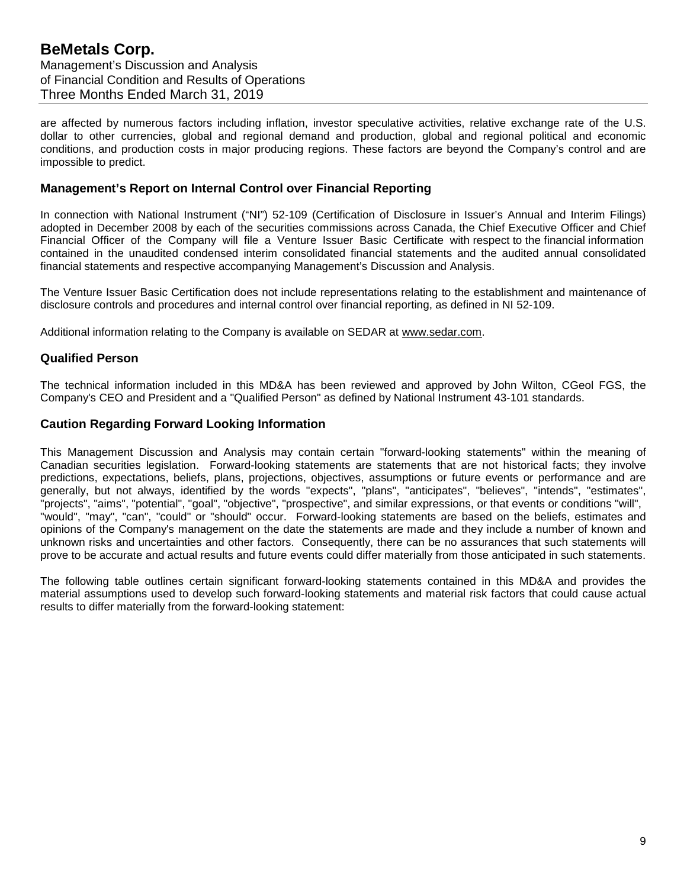are affected by numerous factors including inflation, investor speculative activities, relative exchange rate of the U.S. dollar to other currencies, global and regional demand and production, global and regional political and economic conditions, and production costs in major producing regions. These factors are beyond the Company's control and are impossible to predict.

#### **Management's Report on Internal Control over Financial Reporting**

In connection with National Instrument ("NI") 52-109 (Certification of Disclosure in Issuer's Annual and Interim Filings) adopted in December 2008 by each of the securities commissions across Canada, the Chief Executive Officer and Chief Financial Officer of the Company will file a Venture Issuer Basic Certificate with respect to the financial information contained in the unaudited condensed interim consolidated financial statements and the audited annual consolidated financial statements and respective accompanying Management's Discussion and Analysis.

The Venture Issuer Basic Certification does not include representations relating to the establishment and maintenance of disclosure controls and procedures and internal control over financial reporting, as defined in NI 52-109.

Additional information relating to the Company is available on SEDAR at [www.sedar.com.](http://www.sedar.com/)

#### **Qualified Person**

The technical information included in this MD&A has been reviewed and approved by John Wilton, CGeol FGS, the Company's CEO and President and a "Qualified Person" as defined by National Instrument 43-101 standards.

#### **Caution Regarding Forward Looking Information**

This Management Discussion and Analysis may contain certain "forward-looking statements" within the meaning of Canadian securities legislation. Forward-looking statements are statements that are not historical facts; they involve predictions, expectations, beliefs, plans, projections, objectives, assumptions or future events or performance and are generally, but not always, identified by the words "expects", "plans", "anticipates", "believes", "intends", "estimates", "projects", "aims", "potential", "goal", "objective", "prospective", and similar expressions, or that events or conditions "will", "would", "may", "can", "could" or "should" occur. Forward-looking statements are based on the beliefs, estimates and opinions of the Company's management on the date the statements are made and they include a number of known and unknown risks and uncertainties and other factors. Consequently, there can be no assurances that such statements will prove to be accurate and actual results and future events could differ materially from those anticipated in such statements.

The following table outlines certain significant forward-looking statements contained in this MD&A and provides the material assumptions used to develop such forward-looking statements and material risk factors that could cause actual results to differ materially from the forward-looking statement: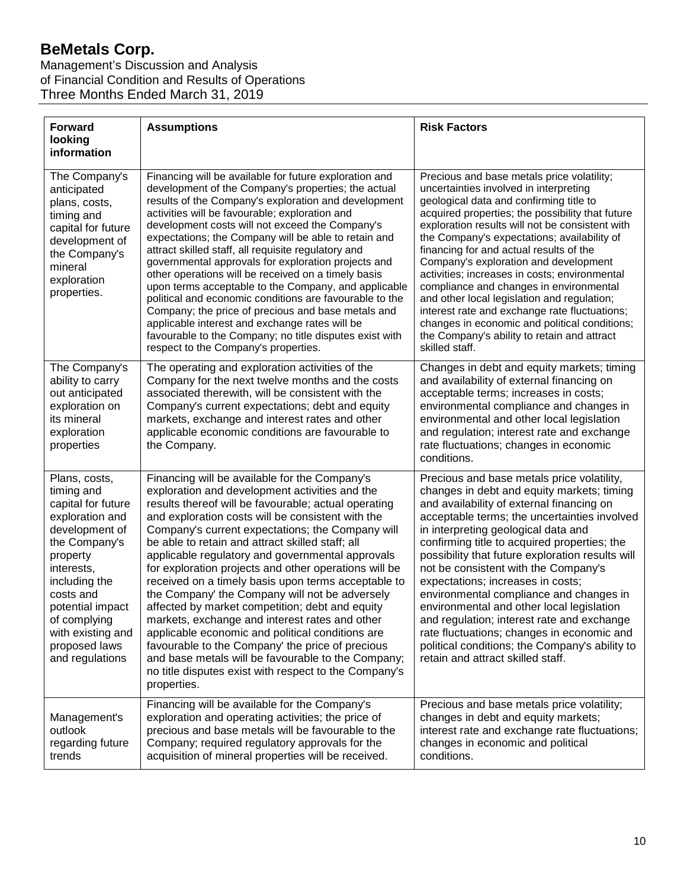# **BeMetals Corp.**

Management's Discussion and Analysis of Financial Condition and Results of Operations Three Months Ended March 31, 2019

| <b>Forward</b><br>looking<br>information                                                                                                                                                                                                                     | <b>Assumptions</b>                                                                                                                                                                                                                                                                                                                                                                                                                                                                                                                                                                                                                                                                                                                                                                                                                                                                    | <b>Risk Factors</b>                                                                                                                                                                                                                                                                                                                                                                                                                                                                                                                                                                                                                                                                      |
|--------------------------------------------------------------------------------------------------------------------------------------------------------------------------------------------------------------------------------------------------------------|---------------------------------------------------------------------------------------------------------------------------------------------------------------------------------------------------------------------------------------------------------------------------------------------------------------------------------------------------------------------------------------------------------------------------------------------------------------------------------------------------------------------------------------------------------------------------------------------------------------------------------------------------------------------------------------------------------------------------------------------------------------------------------------------------------------------------------------------------------------------------------------|------------------------------------------------------------------------------------------------------------------------------------------------------------------------------------------------------------------------------------------------------------------------------------------------------------------------------------------------------------------------------------------------------------------------------------------------------------------------------------------------------------------------------------------------------------------------------------------------------------------------------------------------------------------------------------------|
| The Company's<br>anticipated<br>plans, costs,<br>timing and<br>capital for future<br>development of<br>the Company's<br>mineral<br>exploration<br>properties.                                                                                                | Financing will be available for future exploration and<br>development of the Company's properties; the actual<br>results of the Company's exploration and development<br>activities will be favourable; exploration and<br>development costs will not exceed the Company's<br>expectations; the Company will be able to retain and<br>attract skilled staff, all requisite regulatory and<br>governmental approvals for exploration projects and<br>other operations will be received on a timely basis<br>upon terms acceptable to the Company, and applicable<br>political and economic conditions are favourable to the<br>Company; the price of precious and base metals and<br>applicable interest and exchange rates will be<br>favourable to the Company; no title disputes exist with<br>respect to the Company's properties.                                                 | Precious and base metals price volatility;<br>uncertainties involved in interpreting<br>geological data and confirming title to<br>acquired properties; the possibility that future<br>exploration results will not be consistent with<br>the Company's expectations; availability of<br>financing for and actual results of the<br>Company's exploration and development<br>activities; increases in costs; environmental<br>compliance and changes in environmental<br>and other local legislation and regulation;<br>interest rate and exchange rate fluctuations;<br>changes in economic and political conditions;<br>the Company's ability to retain and attract<br>skilled staff.  |
| The Company's<br>ability to carry<br>out anticipated<br>exploration on<br>its mineral<br>exploration<br>properties                                                                                                                                           | The operating and exploration activities of the<br>Company for the next twelve months and the costs<br>associated therewith, will be consistent with the<br>Company's current expectations; debt and equity<br>markets, exchange and interest rates and other<br>applicable economic conditions are favourable to<br>the Company.                                                                                                                                                                                                                                                                                                                                                                                                                                                                                                                                                     | Changes in debt and equity markets; timing<br>and availability of external financing on<br>acceptable terms; increases in costs;<br>environmental compliance and changes in<br>environmental and other local legislation<br>and regulation; interest rate and exchange<br>rate fluctuations; changes in economic<br>conditions.                                                                                                                                                                                                                                                                                                                                                          |
| Plans, costs,<br>timing and<br>capital for future<br>exploration and<br>development of<br>the Company's<br>property<br>interests,<br>including the<br>costs and<br>potential impact<br>of complying<br>with existing and<br>proposed laws<br>and regulations | Financing will be available for the Company's<br>exploration and development activities and the<br>results thereof will be favourable; actual operating<br>and exploration costs will be consistent with the<br>Company's current expectations; the Company will<br>be able to retain and attract skilled staff; all<br>applicable regulatory and governmental approvals<br>for exploration projects and other operations will be<br>received on a timely basis upon terms acceptable to<br>the Company' the Company will not be adversely<br>affected by market competition; debt and equity<br>markets, exchange and interest rates and other<br>applicable economic and political conditions are<br>favourable to the Company' the price of precious<br>and base metals will be favourable to the Company;<br>no title disputes exist with respect to the Company's<br>properties. | Precious and base metals price volatility,<br>changes in debt and equity markets; timing<br>and availability of external financing on<br>acceptable terms; the uncertainties involved<br>in interpreting geological data and<br>confirming title to acquired properties; the<br>possibility that future exploration results will<br>not be consistent with the Company's<br>expectations; increases in costs;<br>environmental compliance and changes in<br>environmental and other local legislation<br>and regulation; interest rate and exchange<br>rate fluctuations; changes in economic and<br>political conditions; the Company's ability to<br>retain and attract skilled staff. |
| Management's<br>outlook<br>regarding future<br>trends                                                                                                                                                                                                        | Financing will be available for the Company's<br>exploration and operating activities; the price of<br>precious and base metals will be favourable to the<br>Company; required regulatory approvals for the<br>acquisition of mineral properties will be received.                                                                                                                                                                                                                                                                                                                                                                                                                                                                                                                                                                                                                    | Precious and base metals price volatility;<br>changes in debt and equity markets;<br>interest rate and exchange rate fluctuations;<br>changes in economic and political<br>conditions.                                                                                                                                                                                                                                                                                                                                                                                                                                                                                                   |